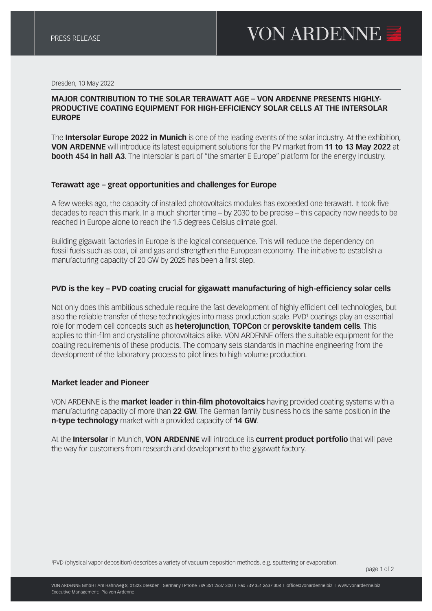#### Dresden, 10 May 2022

## **MAJOR CONTRIBUTION TO THE SOLAR TERAWATT AGE – VON ARDENNE PRESENTS HIGHLY-PRODUCTIVE COATING EQUIPMENT FOR HIGH-EFFICIENCY SOLAR CELLS AT THE INTERSOLAR EUROPE**

The **Intersolar Europe 2022 in Munich** is one of the leading events of the solar industry. At the exhibition, **VON ARDENNE** will introduce its latest equipment solutions for the PV market from **11 to 13 May 2022** at **booth 454 in hall A3**. The Intersolar is part of "the smarter E Europe" platform for the energy industry.

### **Terawatt age – great opportunities and challenges for Europe**

A few weeks ago, the capacity of installed photovoltaics modules has exceeded one terawatt. It took five decades to reach this mark. In a much shorter time – by 2030 to be precise – this capacity now needs to be reached in Europe alone to reach the 1.5 degrees Celsius climate goal.

Building gigawatt factories in Europe is the logical consequence. This will reduce the dependency on fossil fuels such as coal, oil and gas and strengthen the European economy. The initiative to establish a manufacturing capacity of 20 GW by 2025 has been a first step.

## **PVD is the key – PVD coating crucial for gigawatt manufacturing of high-efficiency solar cells**

Not only does this ambitious schedule require the fast development of highly efficient cell technologies, but also the reliable transfer of these technologies into mass production scale. PVD<sup>1</sup> coatings play an essential role for modern cell concepts such as **heterojunction**, **TOPCon** or **perovskite tandem cells**. This applies to thin-film and crystalline photovoltaics alike. VON ARDENNE offers the suitable equipment for the coating requirements of these products. The company sets standards in machine engineering from the development of the laboratory process to pilot lines to high-volume production.

### **Market leader and Pioneer**

VON ARDENNE is the **market leader** in **thin-film photovoltaics** having provided coating systems with a manufacturing capacity of more than **22 GW**. The German family business holds the same position in the **n-type technology** market with a provided capacity of **14 GW**.

At the **Intersolar** in Munich, **VON ARDENNE** will introduce its **current product portfolio** that will pave the way for customers from research and development to the gigawatt factory.